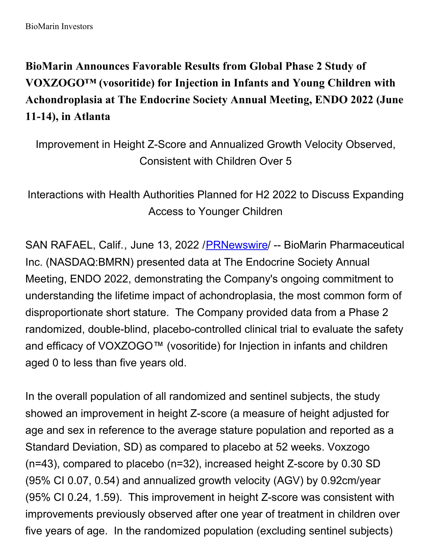**BioMarin Announces Favorable Results from Global Phase 2 Study of VOXZOGO™ (vosoritide) for Injection in Infants and Young Children with Achondroplasia at The Endocrine Society Annual Meeting, ENDO 2022 (June 11-14), in Atlanta**

Improvement in Height Z-Score and Annualized Growth Velocity Observed, Consistent with Children Over 5

Interactions with Health Authorities Planned for H2 2022 to Discuss Expanding Access to Younger Children

SAN RAFAEL, Calif., June 13, 2022 [/PRNewswire](http://www.prnewswire.com/)/ -- BioMarin Pharmaceutical Inc. (NASDAQ:BMRN) presented data at The Endocrine Society Annual Meeting, ENDO 2022, demonstrating the Company's ongoing commitment to understanding the lifetime impact of achondroplasia, the most common form of disproportionate short stature. The Company provided data from a Phase 2 randomized, double-blind, placebo-controlled clinical trial to evaluate the safety and efficacy of VOXZOGO™ (vosoritide) for Injection in infants and children aged 0 to less than five years old.

In the overall population of all randomized and sentinel subjects, the study showed an improvement in height Z-score (a measure of height adjusted for age and sex in reference to the average stature population and reported as a Standard Deviation, SD) as compared to placebo at 52 weeks. Voxzogo (n=43), compared to placebo (n=32), increased height Z-score by 0.30 SD (95% CI 0.07, 0.54) and annualized growth velocity (AGV) by 0.92cm/year (95% CI 0.24, 1.59). This improvement in height Z-score was consistent with improvements previously observed after one year of treatment in children over five years of age. In the randomized population (excluding sentinel subjects)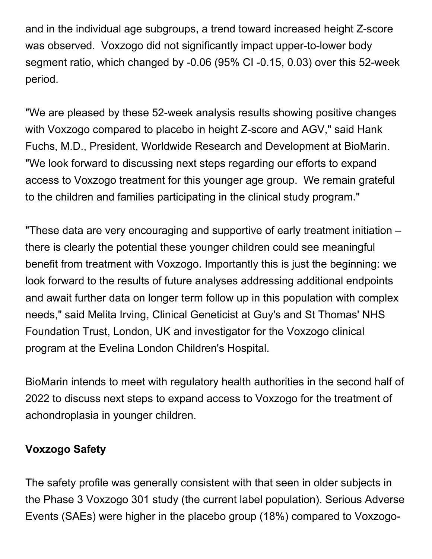and in the individual age subgroups, a trend toward increased height Z-score was observed. Voxzogo did not significantly impact upper-to-lower body segment ratio, which changed by -0.06 (95% CI -0.15, 0.03) over this 52-week period.

"We are pleased by these 52-week analysis results showing positive changes with Voxzogo compared to placebo in height Z-score and AGV," said Hank Fuchs, M.D., President, Worldwide Research and Development at BioMarin. "We look forward to discussing next steps regarding our efforts to expand access to Voxzogo treatment for this younger age group. We remain grateful to the children and families participating in the clinical study program."

"These data are very encouraging and supportive of early treatment initiation – there is clearly the potential these younger children could see meaningful benefit from treatment with Voxzogo. Importantly this is just the beginning: we look forward to the results of future analyses addressing additional endpoints and await further data on longer term follow up in this population with complex needs," said Melita Irving, Clinical Geneticist at Guy's and St Thomas' NHS Foundation Trust, London, UK and investigator for the Voxzogo clinical program at the Evelina London Children's Hospital.

BioMarin intends to meet with regulatory health authorities in the second half of 2022 to discuss next steps to expand access to Voxzogo for the treatment of achondroplasia in younger children.

#### **Voxzogo Safety**

The safety profile was generally consistent with that seen in older subjects in the Phase 3 Voxzogo 301 study (the current label population). Serious Adverse Events (SAEs) were higher in the placebo group (18%) compared to Voxzogo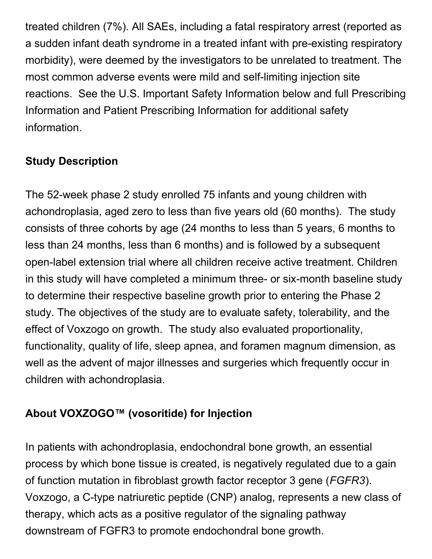treated children (7%). All SAEs, including a fatal respiratory arrest (reported as a sudden infant death syndrome in a treated infant with pre-existing respiratory morbidity), were deemed by the investigators to be unrelated to treatment. The most common adverse events were mild and self-limiting injection site reactions. See the U.S. Important Safety Information below and full Prescribing Information and Patient Prescribing Information for additional safety information.

# **Study Description**

The 52-week phase 2 study enrolled 75 infants and young children with achondroplasia, aged zero to less than five years old (60 months). The study consists of three cohorts by age (24 months to less than 5 years, 6 months to less than 24 months, less than 6 months) and is followed by a subsequent open-label extension trial where all children receive active treatment. Children in this study will have completed a minimum three- or six-month baseline study to determine their respective baseline growth prior to entering the Phase 2 study. The objectives of the study are to evaluate safety, tolerability, and the effect of Voxzogo on growth. The study also evaluated proportionality, functionality, quality of life, sleep apnea, and foramen magnum dimension, as well as the advent of major illnesses and surgeries which frequently occur in children with achondroplasia.

# **About VOXZOGO™ (vosoritide) for Injection**

In patients with achondroplasia, endochondral bone growth, an essential process by which bone tissue is created, is negatively regulated due to a gain of function mutation in fibroblast growth factor receptor 3 gene (*FGFR3*). Voxzogo, a C-type natriuretic peptide (CNP) analog, represents a new class of therapy, which acts as a positive regulator of the signaling pathway downstream of FGFR3 to promote endochondral bone growth.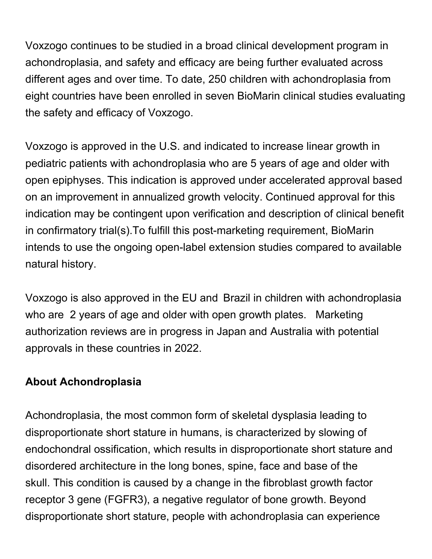Voxzogo continues to be studied in a broad clinical development program in achondroplasia, and safety and efficacy are being further evaluated across different ages and over time. To date, 250 children with achondroplasia from eight countries have been enrolled in seven BioMarin clinical studies evaluating the safety and efficacy of Voxzogo.

Voxzogo is approved in the U.S. and indicated to increase linear growth in pediatric patients with achondroplasia who are 5 years of age and older with open epiphyses. This indication is approved under accelerated approval based on an improvement in annualized growth velocity. Continued approval for this indication may be contingent upon verification and description of clinical benefit in confirmatory trial(s).To fulfill this post-marketing requirement, BioMarin intends to use the ongoing open-label extension studies compared to available natural history.

Voxzogo is also approved in the EU and Brazil in children with achondroplasia who are 2 years of age and older with open growth plates. Marketing authorization reviews are in progress in Japan and Australia with potential approvals in these countries in 2022.

#### **About Achondroplasia**

Achondroplasia, the most common form of skeletal dysplasia leading to disproportionate short stature in humans, is characterized by slowing of endochondral ossification, which results in disproportionate short stature and disordered architecture in the long bones, spine, face and base of the skull. This condition is caused by a change in the fibroblast growth factor receptor 3 gene (FGFR3), a negative regulator of bone growth. Beyond disproportionate short stature, people with achondroplasia can experience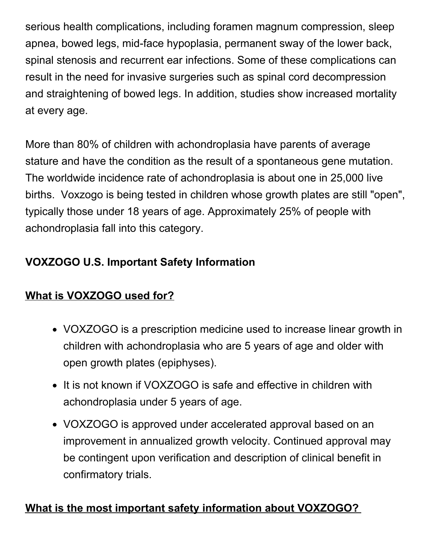serious health complications, including foramen magnum compression, sleep apnea, bowed legs, mid-face hypoplasia, permanent sway of the lower back, spinal stenosis and recurrent ear infections. Some of these complications can result in the need for invasive surgeries such as spinal cord decompression and straightening of bowed legs. In addition, studies show increased mortality at every age.

More than 80% of children with achondroplasia have parents of average stature and have the condition as the result of a spontaneous gene mutation. The worldwide incidence rate of achondroplasia is about one in 25,000 live births. Voxzogo is being tested in children whose growth plates are still "open", typically those under 18 years of age. Approximately 25% of people with achondroplasia fall into this category.

## **VOXZOGO U.S. Important Safety Information**

## **What is VOXZOGO used for?**

- VOXZOGO is a prescription medicine used to increase linear growth in children with achondroplasia who are 5 years of age and older with open growth plates (epiphyses).
- It is not known if VOXZOGO is safe and effective in children with achondroplasia under 5 years of age.
- VOXZOGO is approved under accelerated approval based on an improvement in annualized growth velocity. Continued approval may be contingent upon verification and description of clinical benefit in confirmatory trials.

## **What is the most important safety information about VOXZOGO?**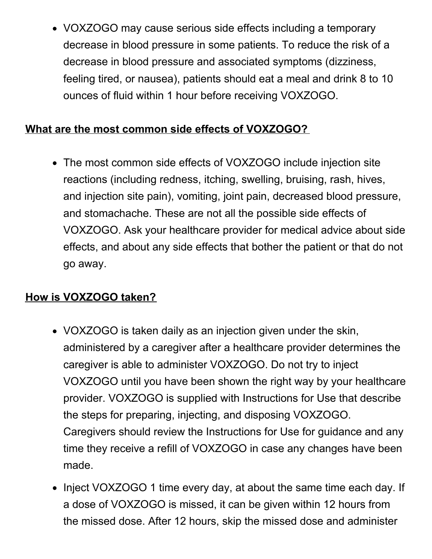VOXZOGO may cause serious side effects including a temporary decrease in blood pressure in some patients. To reduce the risk of a decrease in blood pressure and associated symptoms (dizziness, feeling tired, or nausea), patients should eat a meal and drink 8 to 10 ounces of fluid within 1 hour before receiving VOXZOGO.

#### **What are the most common side effects of VOXZOGO?**

The most common side effects of VOXZOGO include injection site reactions (including redness, itching, swelling, bruising, rash, hives, and injection site pain), vomiting, joint pain, decreased blood pressure, and stomachache. These are not all the possible side effects of VOXZOGO. Ask your healthcare provider for medical advice about side effects, and about any side effects that bother the patient or that do not go away.

#### **How is VOXZOGO taken?**

- VOXZOGO is taken daily as an injection given under the skin, administered by a caregiver after a healthcare provider determines the caregiver is able to administer VOXZOGO. Do not try to inject VOXZOGO until you have been shown the right way by your healthcare provider. VOXZOGO is supplied with Instructions for Use that describe the steps for preparing, injecting, and disposing VOXZOGO. Caregivers should review the Instructions for Use for guidance and any time they receive a refill of VOXZOGO in case any changes have been made.
- Inject VOXZOGO 1 time every day, at about the same time each day. If a dose of VOXZOGO is missed, it can be given within 12 hours from the missed dose. After 12 hours, skip the missed dose and administer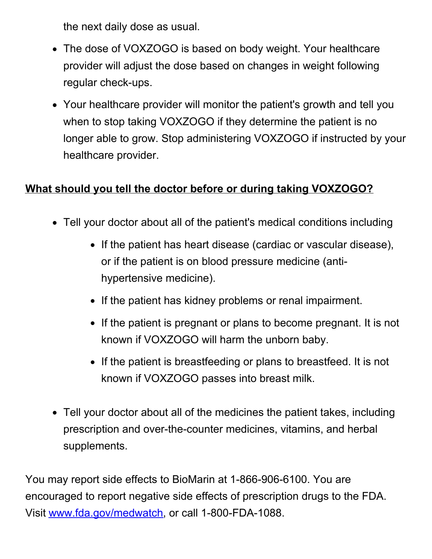the next daily dose as usual.

- The dose of VOXZOGO is based on body weight. Your healthcare provider will adjust the dose based on changes in weight following regular check-ups.
- Your healthcare provider will monitor the patient's growth and tell you when to stop taking VOXZOGO if they determine the patient is no longer able to grow. Stop administering VOXZOGO if instructed by your healthcare provider.

### **What should you tell the doctor before or during taking VOXZOGO?**

- Tell your doctor about all of the patient's medical conditions including
	- If the patient has heart disease (cardiac or vascular disease), or if the patient is on blood pressure medicine (antihypertensive medicine).
	- If the patient has kidney problems or renal impairment.
	- If the patient is pregnant or plans to become pregnant. It is not known if VOXZOGO will harm the unborn baby.
	- If the patient is breastfeeding or plans to breastfeed. It is not known if VOXZOGO passes into breast milk.
- Tell your doctor about all of the medicines the patient takes, including prescription and over-the-counter medicines, vitamins, and herbal supplements.

You may report side effects to BioMarin at 1-866-906-6100. You are encouraged to report negative side effects of prescription drugs to the FDA. Visit [www.fda.gov/medwatch](http://www.fda.gov/medwatch), or call 1-800-FDA-1088.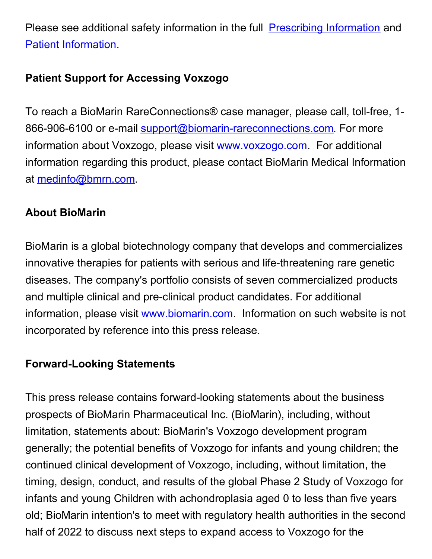Please see additional safety information in the full [Prescribing](https://c212.net/c/link/?t=0&l=en&o=3564879-1&h=2928812451&u=https%3A%2F%2Fpages.bmrn.com%2Frs%2F424-CBN-212%2Fimages%2Fprescribing_information.pdf&a=Prescribing+Information) Information and Patient [Information](https://c212.net/c/link/?t=0&l=en&o=3564879-1&h=1080450767&u=https%3A%2F%2Fpages.bmrn.com%2Frs%2F424-CBN-212%2Fimages%2Fpatient_information.pdf&a=Patient+Information).

### **Patient Support for Accessing Voxzogo**

To reach a BioMarin RareConnections® case manager, please call, toll-free, 1 866-906-6100 or e-mail [support@biomarin-rareconnections.com](mailto:support@biomarin-rareconnections.com). For more information about Voxzogo, please visit [www.voxzogo.com](https://c212.net/c/link/?t=0&l=en&o=3564879-1&h=4073853253&u=http%3A%2F%2Fwww.voxzogo.com%2F&a=www.voxzogo.com). For additional information regarding this product, please contact BioMarin Medical Information at [medinfo@bmrn.com](mailto:medinfo@bmrn.com).

### **About BioMarin**

BioMarin is a global biotechnology company that develops and commercializes innovative therapies for patients with serious and life-threatening rare genetic diseases. The company's portfolio consists of seven commercialized products and multiple clinical and pre-clinical product candidates. For additional information, please visit [www.biomarin.com](https://c212.net/c/link/?t=0&l=en&o=3564879-1&h=2155076771&u=http%3A%2F%2Fwww.biomarin.com%2F&a=www.biomarin.com). Information on such website is not incorporated by reference into this press release.

### **Forward-Looking Statements**

This press release contains forward-looking statements about the business prospects of BioMarin Pharmaceutical Inc. (BioMarin), including, without limitation, statements about: BioMarin's Voxzogo development program generally; the potential benefits of Voxzogo for infants and young children; the continued clinical development of Voxzogo, including, without limitation, the timing, design, conduct, and results of the global Phase 2 Study of Voxzogo for infants and young Children with achondroplasia aged 0 to less than five years old; BioMarin intention's to meet with regulatory health authorities in the second half of 2022 to discuss next steps to expand access to Voxzogo for the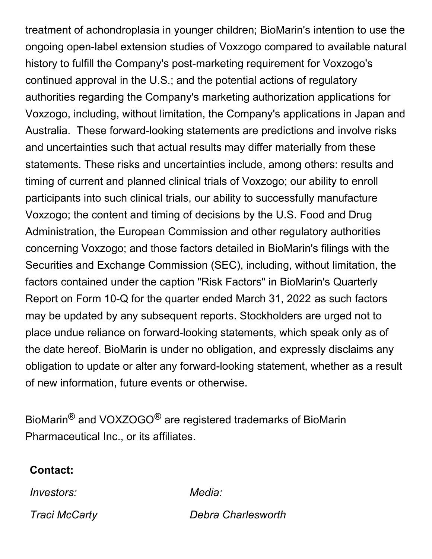treatment of achondroplasia in younger children; BioMarin's intention to use the ongoing open-label extension studies of Voxzogo compared to available natural history to fulfill the Company's post-marketing requirement for Voxzogo's continued approval in the U.S.; and the potential actions of regulatory authorities regarding the Company's marketing authorization applications for Voxzogo, including, without limitation, the Company's applications in Japan and Australia. These forward-looking statements are predictions and involve risks and uncertainties such that actual results may differ materially from these statements. These risks and uncertainties include, among others: results and timing of current and planned clinical trials of Voxzogo; our ability to enroll participants into such clinical trials, our ability to successfully manufacture Voxzogo; the content and timing of decisions by the U.S. Food and Drug Administration, the European Commission and other regulatory authorities concerning Voxzogo; and those factors detailed in BioMarin's filings with the Securities and Exchange Commission (SEC), including, without limitation, the factors contained under the caption "Risk Factors" in BioMarin's Quarterly Report on Form 10-Q for the quarter ended March 31, 2022 as such factors may be updated by any subsequent reports. Stockholders are urged not to place undue reliance on forward-looking statements, which speak only as of the date hereof. BioMarin is under no obligation, and expressly disclaims any obligation to update or alter any forward-looking statement, whether as a result of new information, future events or otherwise.

BioMarin® and VOXZOGO® are registered trademarks of BioMarin Pharmaceutical Inc., or its affiliates.

#### **Contact:**

*Investors: Media:*

*Traci McCarty Debra Charlesworth*